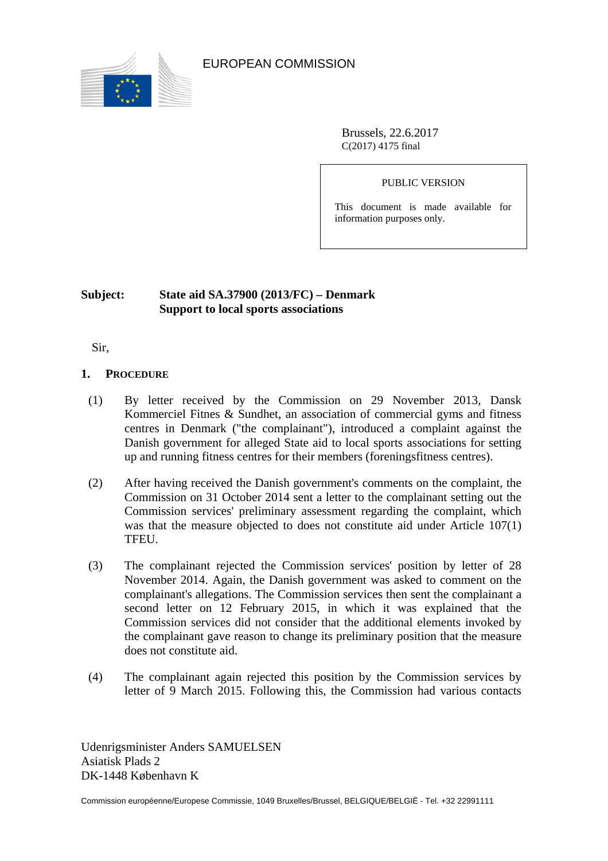

EUROPEAN COMMISSION

Brussels, 22.6.2017 C(2017) 4175 final

PUBLIC VERSION

This document is made available for information purposes only.

# **Subject: State aid SA.37900 (2013/FC) – Denmark Support to local sports associations**

Sir,

## **1. PROCEDURE**

- (1) By letter received by the Commission on 29 November 2013, Dansk Kommerciel Fitnes & Sundhet, an association of commercial gyms and fitness centres in Denmark ("the complainant"), introduced a complaint against the Danish government for alleged State aid to local sports associations for setting up and running fitness centres for their members (foreningsfitness centres).
- (2) After having received the Danish government's comments on the complaint, the Commission on 31 October 2014 sent a letter to the complainant setting out the Commission services' preliminary assessment regarding the complaint, which was that the measure objected to does not constitute aid under Article 107(1) TFEU.
- (3) The complainant rejected the Commission services' position by letter of 28 November 2014. Again, the Danish government was asked to comment on the complainant's allegations. The Commission services then sent the complainant a second letter on 12 February 2015, in which it was explained that the Commission services did not consider that the additional elements invoked by the complainant gave reason to change its preliminary position that the measure does not constitute aid.
- (4) The complainant again rejected this position by the Commission services by letter of 9 March 2015. Following this, the Commission had various contacts

Udenrigsminister Anders SAMUELSEN Asiatisk Plads 2 DK-1448 København K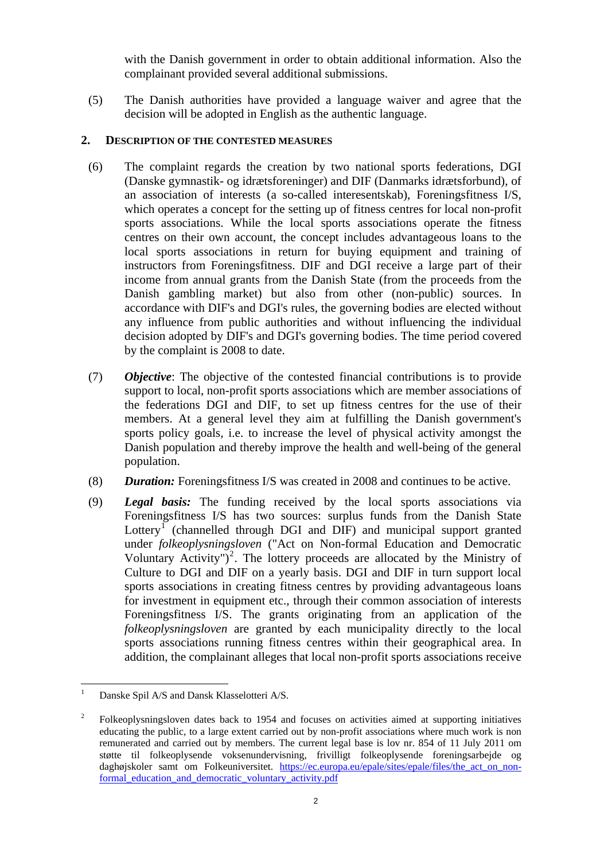with the Danish government in order to obtain additional information. Also the complainant provided several additional submissions.

(5) The Danish authorities have provided a language waiver and agree that the decision will be adopted in English as the authentic language.

## **2. DESCRIPTION OF THE CONTESTED MEASURES**

- (6) The complaint regards the creation by two national sports federations, DGI (Danske gymnastik- og idrætsforeninger) and DIF (Danmarks idrætsforbund), of an association of interests (a so-called interesentskab), Foreningsfitness I/S, which operates a concept for the setting up of fitness centres for local non-profit sports associations. While the local sports associations operate the fitness centres on their own account, the concept includes advantageous loans to the local sports associations in return for buying equipment and training of instructors from Foreningsfitness. DIF and DGI receive a large part of their income from annual grants from the Danish State (from the proceeds from the Danish gambling market) but also from other (non-public) sources. In accordance with DIF's and DGI's rules, the governing bodies are elected without any influence from public authorities and without influencing the individual decision adopted by DIF's and DGI's governing bodies. The time period covered by the complaint is 2008 to date.
- (7) *Objective*: The objective of the contested financial contributions is to provide support to local, non-profit sports associations which are member associations of the federations DGI and DIF, to set up fitness centres for the use of their members. At a general level they aim at fulfilling the Danish government's sports policy goals, i.e. to increase the level of physical activity amongst the Danish population and thereby improve the health and well-being of the general population.
- (8) *Duration:* Foreningsfitness I/S was created in 2008 and continues to be active.
- (9) *Legal basis:* The funding received by the local sports associations via Foreningsfitness I/S has two sources: surplus funds from the Danish State Lottery<sup>[1](#page-1-0)</sup> (channelled through DGI and DIF) and municipal support granted under *folkeoplysningsloven* ("Act on Non-formal Education and Democratic Voluntary Activity")<sup>[2](#page-1-1)</sup>. The lottery proceeds are allocated by the Ministry of Culture to DGI and DIF on a yearly basis. DGI and DIF in turn support local sports associations in creating fitness centres by providing advantageous loans for investment in equipment etc., through their common association of interests Foreningsfitness I/S. The grants originating from an application of the *folkeoplysningsloven* are granted by each municipality directly to the local sports associations running fitness centres within their geographical area. In addition, the complainant alleges that local non-profit sports associations receive

 $\overline{a}$ 

<span id="page-1-0"></span><sup>1</sup> Danske Spil A/S and Dansk Klasselotteri A/S.

<span id="page-1-1"></span><sup>2</sup> Folkeoplysningsloven dates back to 1954 and focuses on activities aimed at supporting initiatives educating the public, to a large extent carried out by non-profit associations where much work is non remunerated and carried out by members. The current legal base is lov nr. 854 of 11 July 2011 om støtte til folkeoplysende voksenundervisning, frivilligt folkeoplysende foreningsarbejde og daghøjskoler samt om Folkeuniversitet. https://ec.europa.eu/epale/sites/epale/files/the act on non[formal\\_education\\_and\\_democratic\\_voluntary\\_activity.pdf](https://ec.europa.eu/epale/sites/epale/files/the_act_on_non-formal_education_and_democratic_voluntary_activity.pdf)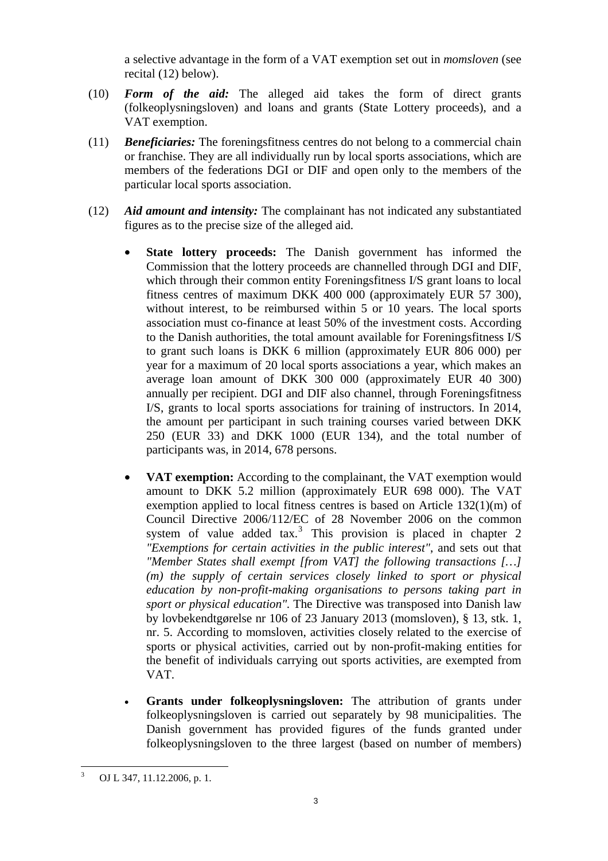a selective advantage in the form of a VAT exemption set out in *momsloven* (see recital (12) below).

- (10) *Form of the aid:* The alleged aid takes the form of direct grants (folkeoplysningsloven) and loans and grants (State Lottery proceeds), and a VAT exemption.
- (11) *Beneficiaries:* The foreningsfitness centres do not belong to a commercial chain or franchise. They are all individually run by local sports associations, which are members of the federations DGI or DIF and open only to the members of the particular local sports association.
- <span id="page-2-1"></span>(12) *Aid amount and intensity:* The complainant has not indicated any substantiated figures as to the precise size of the alleged aid.
	- **State lottery proceeds:** The Danish government has informed the Commission that the lottery proceeds are channelled through DGI and DIF, which through their common entity Foreningsfitness I/S grant loans to local fitness centres of maximum DKK 400 000 (approximately EUR 57 300), without interest, to be reimbursed within 5 or 10 years. The local sports association must co-finance at least 50% of the investment costs. According to the Danish authorities, the total amount available for Foreningsfitness I/S to grant such loans is DKK 6 million (approximately EUR 806 000) per year for a maximum of 20 local sports associations a year, which makes an average loan amount of DKK 300 000 (approximately EUR 40 300) annually per recipient. DGI and DIF also channel, through Foreningsfitness I/S, grants to local sports associations for training of instructors. In 2014, the amount per participant in such training courses varied between DKK 250 (EUR 33) and DKK 1000 (EUR 134), and the total number of participants was, in 2014, 678 persons.
	- **VAT exemption:** According to the complainant, the VAT exemption would amount to DKK 5.2 million (approximately EUR 698 000). The VAT exemption applied to local fitness centres is based on Article 132(1)(m) of Council Directive 2006/112/EC of 28 November 2006 on the common system of value added  $\text{tax.}^3$  $\text{tax.}^3$  This provision is placed in chapter 2 *"Exemptions for certain activities in the public interest"*, and sets out that *"Member States shall exempt [from VAT] the following transactions […] (m) the supply of certain services closely linked to sport or physical education by non-profit-making organisations to persons taking part in sport or physical education".* The Directive was transposed into Danish law by lovbekendtgørelse nr 106 of 23 January 2013 (momsloven), § 13, stk. 1, nr. 5. According to momsloven, activities closely related to the exercise of sports or physical activities, carried out by non-profit-making entities for the benefit of individuals carrying out sports activities, are exempted from VAT.
	- **Grants under folkeoplysningsloven:** The attribution of grants under folkeoplysningsloven is carried out separately by 98 municipalities. The Danish government has provided figures of the funds granted under folkeoplysningsloven to the three largest (based on number of members)

<span id="page-2-2"></span><span id="page-2-0"></span> 3 OJ L 347, 11.12.2006, p. 1.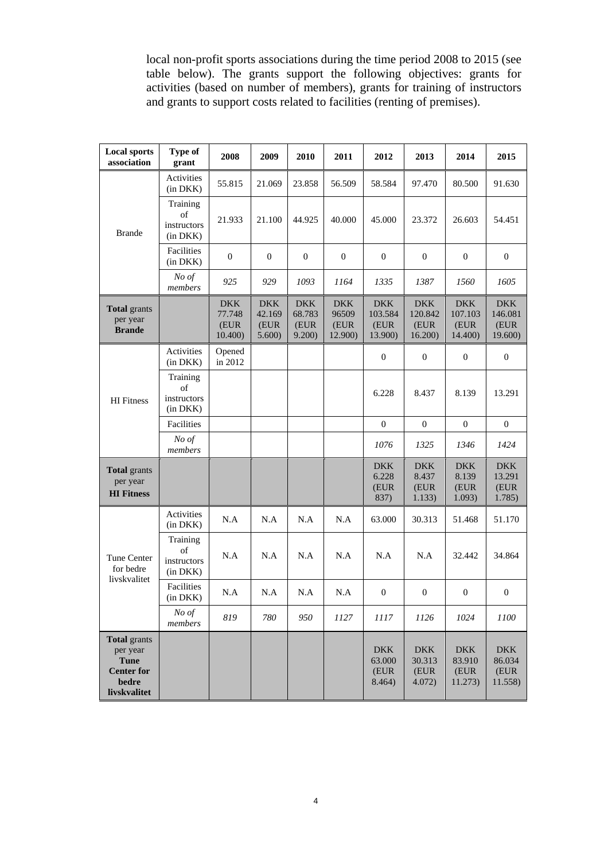local non-profit sports associations during the time period 2008 to 2015 (see table below). The grants support the following objectives: grants for activities (based on number of members), grants for training of instructors and grants to support costs related to facilities (renting of premises).

| <b>Local sports</b><br>association                                                           | <b>Type of</b><br>grant                   | 2008                                    | 2009                                   | 2010                                   | 2011                                   | 2012                                     | 2013                                     | 2014                                     | 2015                                     |
|----------------------------------------------------------------------------------------------|-------------------------------------------|-----------------------------------------|----------------------------------------|----------------------------------------|----------------------------------------|------------------------------------------|------------------------------------------|------------------------------------------|------------------------------------------|
| <b>Brande</b>                                                                                | Activities<br>(in DKK)                    | 55.815                                  | 21.069                                 | 23.858                                 | 56.509                                 | 58.584                                   | 97.470                                   | 80.500                                   | 91.630                                   |
|                                                                                              | Training<br>of<br>instructors<br>(in DKK) | 21.933                                  | 21.100                                 | 44.925                                 | 40.000                                 | 45.000                                   | 23.372                                   | 26.603                                   | 54.451                                   |
|                                                                                              | Facilities<br>(in DKK)                    | $\boldsymbol{0}$                        | $\theta$                               | $\mathbf{0}$                           | $\mathbf{0}$                           | $\mathbf{0}$                             | $\theta$                                 | $\overline{0}$                           | $\boldsymbol{0}$                         |
|                                                                                              | No of<br>members                          | 925                                     | 929                                    | 1093                                   | 1164                                   | 1335                                     | 1387                                     | 1560                                     | 1605                                     |
| <b>Total</b> grants<br>per year<br><b>Brande</b>                                             |                                           | <b>DKK</b><br>77.748<br>(EUR<br>10.400) | <b>DKK</b><br>42.169<br>(EUR<br>5.600) | <b>DKK</b><br>68.783<br>(EUR<br>9.200) | <b>DKK</b><br>96509<br>(EUR<br>12.900) | <b>DKK</b><br>103.584<br>(EUR<br>13.900) | <b>DKK</b><br>120.842<br>(EUR<br>16.200) | <b>DKK</b><br>107.103<br>(EUR<br>14.400) | <b>DKK</b><br>146.081<br>(EUR<br>19.600) |
| <b>HI</b> Fitness                                                                            | Activities<br>(in DKK)                    | Opened<br>in 2012                       |                                        |                                        |                                        | $\mathbf{0}$                             | $\mathbf{0}$                             | $\mathbf{0}$                             | $\boldsymbol{0}$                         |
|                                                                                              | Training<br>of<br>instructors<br>(in DKK) |                                         |                                        |                                        |                                        | 6.228                                    | 8.437                                    | 8.139                                    | 13.291                                   |
|                                                                                              | Facilities                                |                                         |                                        |                                        |                                        | $\mathbf{0}$                             | $\boldsymbol{0}$                         | $\mathbf{0}$                             | $\overline{0}$                           |
|                                                                                              | No of<br>members                          |                                         |                                        |                                        |                                        | 1076                                     | 1325                                     | 1346                                     | 1424                                     |
| <b>Total</b> grants<br>per year<br><b>HI</b> Fitness                                         |                                           |                                         |                                        |                                        |                                        | <b>DKK</b><br>6.228<br>(EUR<br>837)      | <b>DKK</b><br>8.437<br>(EUR<br>1.133)    | <b>DKK</b><br>8.139<br>(EUR<br>1.093)    | <b>DKK</b><br>13.291<br>(EUR<br>1.785)   |
| <b>Tune Center</b><br>for bedre<br>livskvalitet                                              | Activities<br>(in DKK)                    | N.A                                     | N.A                                    | N.A                                    | N.A                                    | 63.000                                   | 30.313                                   | 51.468                                   | 51.170                                   |
|                                                                                              | Training<br>of<br>instructors<br>(in DKK) | N.A                                     | N.A                                    | N.A                                    | N.A                                    | N.A                                      | N.A                                      | 32.442                                   | 34.864                                   |
|                                                                                              | Facilities<br>(in DKK)                    | N.A                                     | N.A                                    | N.A                                    | N.A                                    | $\mathbf{0}$                             | $\mathbf{0}$                             | $\mathbf{0}$                             | $\mathbf{0}$                             |
|                                                                                              | No of<br>members                          | 819                                     | 780                                    | 950                                    | 1127                                   | 1117                                     | 1126                                     | 1024                                     | 1100                                     |
| <b>Total</b> grants<br>per year<br><b>Tune</b><br><b>Center for</b><br>bedre<br>livskvalitet |                                           |                                         |                                        |                                        |                                        | <b>DKK</b><br>63.000<br>(EUR<br>8.464)   | <b>DKK</b><br>30.313<br>(EUR<br>4.072)   | <b>DKK</b><br>83.910<br>(EUR<br>11.273)  | <b>DKK</b><br>86.034<br>(EUR<br>11.558)  |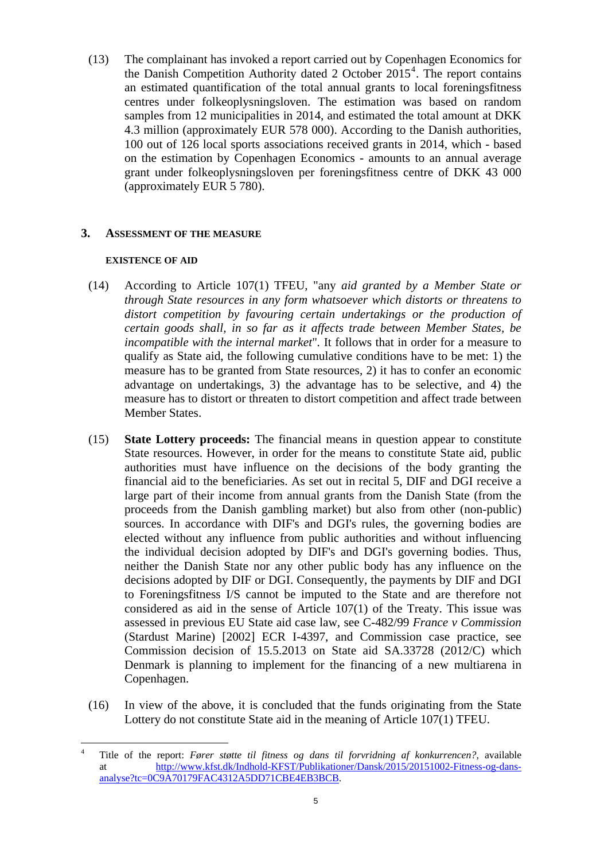<span id="page-4-1"></span>(13) The complainant has invoked a report carried out by Copenhagen Economics for the Danish Competition Authority dated 2 October  $2015<sup>4</sup>$  $2015<sup>4</sup>$  $2015<sup>4</sup>$ . The report contains an estimated quantification of the total annual grants to local foreningsfitness centres under folkeoplysningsloven. The estimation was based on random samples from 12 municipalities in 2014, and estimated the total amount at DKK 4.3 million (approximately EUR 578 000). According to the Danish authorities, 100 out of 126 local sports associations received grants in 2014, which - based on the estimation by Copenhagen Economics - amounts to an annual average grant under folkeoplysningsloven per foreningsfitness centre of DKK 43 000 (approximately EUR 5 780).

### **3. ASSESSMENT OF THE MEASURE**

### **EXISTENCE OF AID**

- (14) According to Article 107(1) TFEU, "any *aid granted by a Member State or through State resources in any form whatsoever which distorts or threatens to distort competition by favouring certain undertakings or the production of certain goods shall, in so far as it affects trade between Member States, be incompatible with the internal market*"*.* It follows that in order for a measure to qualify as State aid, the following cumulative conditions have to be met: 1) the measure has to be granted from State resources, 2) it has to confer an economic advantage on undertakings, 3) the advantage has to be selective, and 4) the measure has to distort or threaten to distort competition and affect trade between Member States.
- (15) **State Lottery proceeds:** The financial means in question appear to constitute State resources. However, in order for the means to constitute State aid, public authorities must have influence on the decisions of the body granting the financial aid to the beneficiaries. As set out in recital 5, DIF and DGI receive a large part of their income from annual grants from the Danish State (from the proceeds from the Danish gambling market) but also from other (non-public) sources. In accordance with DIF's and DGI's rules, the governing bodies are elected without any influence from public authorities and without influencing the individual decision adopted by DIF's and DGI's governing bodies. Thus, neither the Danish State nor any other public body has any influence on the decisions adopted by DIF or DGI. Consequently, the payments by DIF and DGI to Foreningsfitness I/S cannot be imputed to the State and are therefore not considered as aid in the sense of Article 107(1) of the Treaty. This issue was assessed in previous EU State aid case law, see C-482/99 *France v Commission* (Stardust Marine) [2002] ECR I-4397, and Commission case practice, see Commission decision of 15.5.2013 on State aid SA.33728 (2012/C) which Denmark is planning to implement for the financing of a new multiarena in Copenhagen.
- (16) In view of the above, it is concluded that the funds originating from the State Lottery do not constitute State aid in the meaning of Article 107(1) TFEU.

<span id="page-4-0"></span> $\overline{a}$ 4 Title of the report: *Fører støtte til fitness og dans til forvridning af konkurrencen?*, available at [http://www.kfst.dk/Indhold-KFST/Publikationer/Dansk/2015/20151002-Fitne](http://www.kfst.dk/Indhold-KFST/Publikationer/Dansk/2015/20151002-Fitness-og-dans-analyse?tc=0C9A70179FAC4312A5DD71CBE4EB3BCB)ss-og-dans[analyse?tc=0C9A70179FAC4312A5DD71CBE4EB3BCB.](http://www.kfst.dk/Indhold-KFST/Publikationer/Dansk/2015/20151002-Fitness-og-dans-analyse?tc=0C9A70179FAC4312A5DD71CBE4EB3BCB)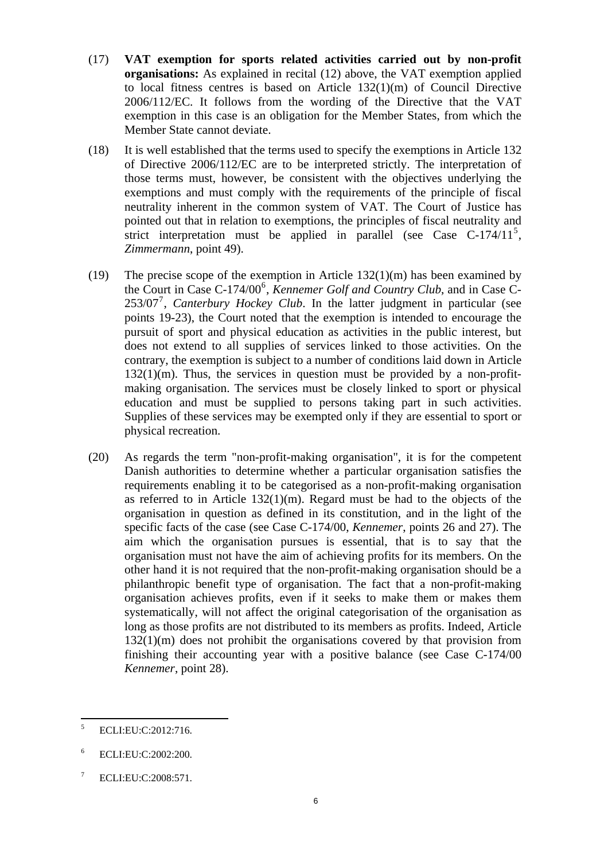- (17) **VAT exemption for sports related activities carried out by non-profit organisations:** As explained in recital [\(12\) above](#page-2-1), the VAT exemption applied to local fitness centres is based on Article 132(1)(m) of Council Directive 2006/112/EC. It follows from the wording of the Directive that the VAT exemption in this case is an obligation for the Member States, from which the Member State cannot deviate.
- (18) It is well established that the terms used to specify the exemptions in Article 132 of Directive 2006/112/EC are to be interpreted strictly. The interpretation of those terms must, however, be consistent with the objectives underlying the exemptions and must comply with the requirements of the principle of fiscal neutrality inherent in the common system of VAT. The Court of Justice has pointed out that in relation to exemptions, the principles of fiscal neutrality and strict interpretation must be applied in parallel (see Case C-174/11<sup>[5](#page-5-0)</sup>, *Zimmermann*, point 49).
- (19) The precise scope of the exemption in Article 132(1)(m) has been examined by the Court in Case C-174/00<sup>[6](#page-5-1)</sup>, *Kennemer Golf and Country Club*, and in Case C-253/0[7](#page-5-2)<sup>7</sup>, *Canterbury Hockey Club*. In the latter judgment in particular (see points 19-23), the Court noted that the exemption is intended to encourage the pursuit of sport and physical education as activities in the public interest, but does not extend to all supplies of services linked to those activities. On the contrary, the exemption is subject to a number of conditions laid down in Article  $132(1)(m)$ . Thus, the services in question must be provided by a non-profitmaking organisation. The services must be closely linked to sport or physical education and must be supplied to persons taking part in such activities. Supplies of these services may be exempted only if they are essential to sport or physical recreation.
- (20) As regards the term "non-profit-making organisation", it is for the competent Danish authorities to determine whether a particular organisation satisfies the requirements enabling it to be categorised as a non-profit-making organisation as referred to in Article 132(1)(m). Regard must be had to the objects of the organisation in question as defined in its constitution, and in the light of the specific facts of the case (see Case C-174/00, *Kennemer*, points 26 and 27). The aim which the organisation pursues is essential, that is to say that the organisation must not have the aim of achieving profits for its members. On the other hand it is not required that the non-profit-making organisation should be a philanthropic benefit type of organisation. The fact that a non-profit-making organisation achieves profits, even if it seeks to make them or makes them systematically, will not affect the original categorisation of the organisation as long as those profits are not distributed to its members as profits. Indeed, Article 132(1)(m) does not prohibit the organisations covered by that provision from finishing their accounting year with a positive balance (see Case C-174/00 *Kennemer*, point 28).

<span id="page-5-0"></span> $\frac{1}{5}$ ECLI:EU:C:2012:716.

<span id="page-5-1"></span><sup>6</sup> ECLI:EU:C:2002:200.

<span id="page-5-2"></span><sup>7</sup> ECLI:EU:C:2008:571.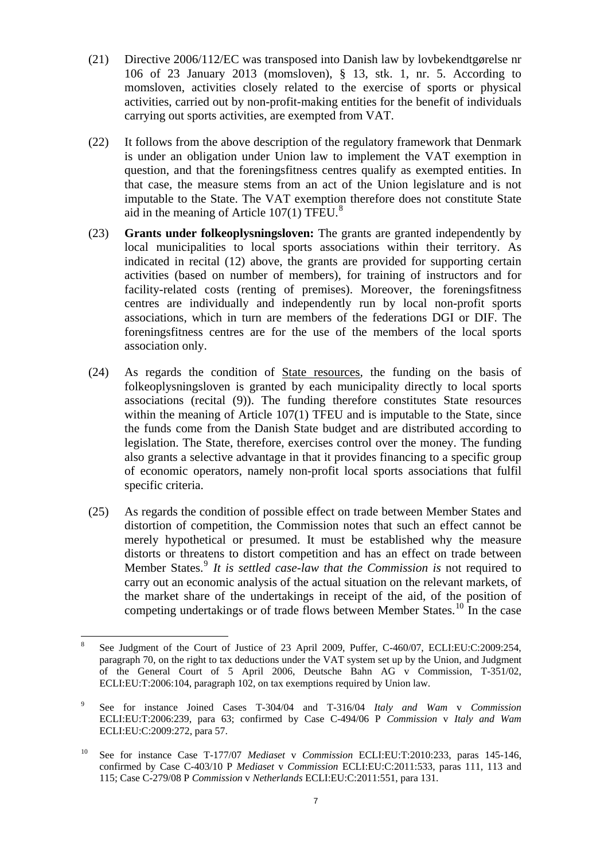- (21) Directive 2006/112/EC was transposed into Danish law by lovbekendtgørelse nr 106 of 23 January 2013 (momsloven), § 13, stk. 1, nr. 5. According to momsloven, activities closely related to the exercise of sports or physical activities, carried out by non-profit-making entities for the benefit of individuals carrying out sports activities, are exempted from VAT.
- (22) It follows from the above description of the regulatory framework that Denmark is under an obligation under Union law to implement the VAT exemption in question, and that the foreningsfitness centres qualify as exempted entities. In that case, the measure stems from an act of the Union legislature and is not imputable to the State. The VAT exemption therefore does not constitute State aid in the meaning of Article  $107(1)$  TFEU.<sup>[8](#page-6-0)</sup>
- (23) **Grants under folkeoplysningsloven:** The grants are granted independently by local municipalities to local sports associations within their territory. As indicated in recital [\(12\)](#page-2-1) above, the grants are provided for supporting certain activities (based on number of members), for training of instructors and for facility-related costs (renting of premises). Moreover, the foreningsfitness centres are individually and independently run by local non-profit sports associations, which in turn are members of the federations DGI or DIF. The foreningsfitness centres are for the use of the members of the local sports association only.
- (24) As regards the condition of State resources*,* the funding on the basis of folkeoplysningsloven is granted by each municipality directly to local sports associations (recital [\(9\)\)](#page-2-2). The funding therefore constitutes State resources within the meaning of Article 107(1) TFEU and is imputable to the State, since the funds come from the Danish State budget and are distributed according to legislation. The State, therefore, exercises control over the money. The funding also grants a selective advantage in that it provides financing to a specific group of economic operators, namely non-profit local sports associations that fulfil specific criteria.
- (25) As regards the condition of possible effect on trade between Member States and distortion of competition, the Commission notes that such an effect cannot be merely hypothetical or presumed. It must be established why the measure distorts or threatens to distort competition and has an effect on trade between Member States.<sup>[9](#page-6-1)</sup> It is settled case-law that the Commission is not required to carry out an economic analysis of the actual situation on the relevant markets, of the market share of the undertakings in receipt of the aid, of the position of competing undertakings or of trade flows between Member States.<sup>[10](#page-6-2)</sup> In the case

<span id="page-6-0"></span> $\overline{a}$ 8 See Judgment of the Court of Justice of 23 April 2009, Puffer, C-460/07, ECLI:EU:C:2009:254, paragraph 70, on the right to tax deductions under the VAT system set up by the Union, and Judgment of the General Court of 5 April 2006, Deutsche Bahn AG v Commission, T-351/02, ECLI:EU:T:2006:104, paragraph 102, on tax exemptions required by Union law.

<span id="page-6-1"></span><sup>9</sup> See for instance Joined Cases T-304/04 and T-316/04 *Italy and Wam* v *Commission*  ECLI:EU:T:2006:239, para 63; confirmed by Case C-494/06 P *Commission* v *Italy and Wam* ECLI:EU:C:2009:272, para 57.

<span id="page-6-2"></span><sup>10</sup> See for instance Case T-177/07 *Mediaset* v *Commission* ECLI:EU:T:2010:233, paras 145-146, confirmed by Case C-403/10 P *Mediaset* v *Commission* ECLI:EU:C:2011:533, paras 111, 113 and 115; Case C-279/08 P *Commission* v *Netherlands* ECLI:EU:C:2011:551, para 131.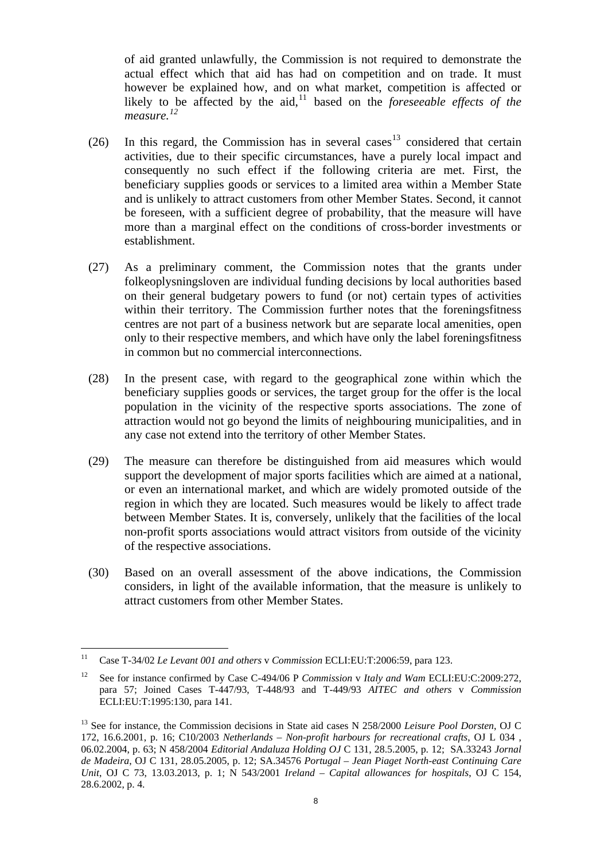of aid granted unlawfully, the Commission is not required to demonstrate the actual effect which that aid has had on competition and on trade. It must however be explained how, and on what market, competition is affected or likely to be affected by the aid,<sup>[11](#page-7-0)</sup> based on the *foreseeable effects of the measure. [12](#page-7-1)*

- (26) In this regard, the Commission has in several cases<sup>[13](#page-7-2)</sup> considered that certain activities, due to their specific circumstances, have a purely local impact and consequently no such effect if the following criteria are met. First, the beneficiary supplies goods or services to a limited area within a Member State and is unlikely to attract customers from other Member States. Second, it cannot be foreseen, with a sufficient degree of probability, that the measure will have more than a marginal effect on the conditions of cross-border investments or establishment.
- (27) As a preliminary comment, the Commission notes that the grants under folkeoplysningsloven are individual funding decisions by local authorities based on their general budgetary powers to fund (or not) certain types of activities within their territory. The Commission further notes that the foreningsfitness centres are not part of a business network but are separate local amenities, open only to their respective members, and which have only the label foreningsfitness in common but no commercial interconnections.
- (28) In the present case, with regard to the geographical zone within which the beneficiary supplies goods or services, the target group for the offer is the local population in the vicinity of the respective sports associations. The zone of attraction would not go beyond the limits of neighbouring municipalities, and in any case not extend into the territory of other Member States.
- (29) The measure can therefore be distinguished from aid measures which would support the development of major sports facilities which are aimed at a national, or even an international market, and which are widely promoted outside of the region in which they are located. Such measures would be likely to affect trade between Member States. It is, conversely, unlikely that the facilities of the local non-profit sports associations would attract visitors from outside of the vicinity of the respective associations.
- (30) Based on an overall assessment of the above indications, the Commission considers, in light of the available information, that the measure is unlikely to attract customers from other Member States.

<span id="page-7-0"></span> $11$ 11 Case T-34/02 *Le Levant 001 and others* v *Commission* ECLI:EU:T:2006:59, para 123.

<span id="page-7-1"></span><sup>12</sup> See for instance confirmed by Case C-494/06 P *Commission* v *Italy and Wam* ECLI:EU:C:2009:272, para 57; Joined Cases T-447/93, T-448/93 and T-449/93 *AITEC and others* v *Commission* ECLI:EU:T:1995:130, para 141.

<span id="page-7-2"></span><sup>&</sup>lt;sup>13</sup> See for instance, the Commission decisions in State aid cases N 258/2000 *Leisure Pool Dorsten*, OJ C 172, 16.6.2001, p. 16; C10/2003 *Netherlands – Non-profit harbours for recreational crafts*, OJ L 034 , 06.02.2004, p. 63; N 458/2004 *Editorial Andaluza Holding OJ* C 131, 28.5.2005, p. 12; SA.33243 *Jornal de Madeira*, OJ C 131, 28.05.2005, p. 12; SA.34576 *Portugal – Jean Piaget North-east Continuing Care Unit*, OJ C 73, 13.03.2013, p. 1; N 543/2001 *Ireland – Capital allowances for hospitals*, OJ C 154, 28.6.2002, p. 4.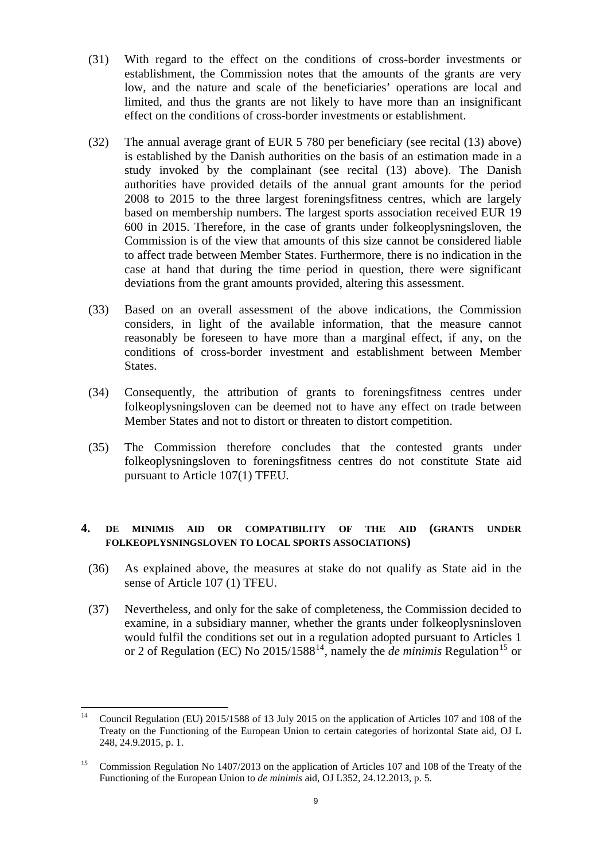- (31) With regard to the effect on the conditions of cross-border investments or establishment, the Commission notes that the amounts of the grants are very low, and the nature and scale of the beneficiaries' operations are local and limited, and thus the grants are not likely to have more than an insignificant effect on the conditions of cross-border investments or establishment.
- (32) The annual average grant of EUR 5 780 per beneficiary (see recital [\(13\) above](#page-4-1)) is established by the Danish authorities on the basis of an estimation made in a study invoked by the complainant (see recital [\(13\)](#page-4-1) above). The Danish authorities have provided details of the annual grant amounts for the period 2008 to 2015 to the three largest foreningsfitness centres, which are largely based on membership numbers. The largest sports association received EUR 19 600 in 2015. Therefore, in the case of grants under folkeoplysningsloven, the Commission is of the view that amounts of this size cannot be considered liable to affect trade between Member States. Furthermore, there is no indication in the case at hand that during the time period in question, there were significant deviations from the grant amounts provided, altering this assessment.
- (33) Based on an overall assessment of the above indications, the Commission considers, in light of the available information, that the measure cannot reasonably be foreseen to have more than a marginal effect, if any, on the conditions of cross-border investment and establishment between Member States.
- (34) Consequently, the attribution of grants to foreningsfitness centres under folkeoplysningsloven can be deemed not to have any effect on trade between Member States and not to distort or threaten to distort competition.
- (35) The Commission therefore concludes that the contested grants under folkeoplysningsloven to foreningsfitness centres do not constitute State aid pursuant to Article 107(1) TFEU.

## **4. DE MINIMIS AID OR COMPATIBILITY OF THE AID (GRANTS UNDER FOLKEOPLYSNINGSLOVEN TO LOCAL SPORTS ASSOCIATIONS)**

- (36) As explained above, the measures at stake do not qualify as State aid in the sense of Article 107 (1) TFEU.
- (37) Nevertheless, and only for the sake of completeness, the Commission decided to examine, in a subsidiary manner, whether the grants under folkeoplysninsloven would fulfil the conditions set out in a regulation adopted pursuant to Articles 1 or 2 of Regulation (EC) No  $2015/1588^{14}$  $2015/1588^{14}$  $2015/1588^{14}$ , namely the *de minimis* Regulation<sup>[15](#page-8-1)</sup> or

<span id="page-8-0"></span> $14$ 14 Council Regulation (EU) 2015/1588 of 13 July 2015 on the application of Articles 107 and 108 of the Treaty on the Functioning of the European Union to certain categories of horizontal State aid, OJ L 248, 24.9.2015, p. 1.

<span id="page-8-1"></span><sup>&</sup>lt;sup>15</sup> Commission Regulation No 1407/2013 on the application of Articles 107 and 108 of the Treaty of the Functioning of the European Union to *de minimis* aid, OJ L352, 24.12.2013, p. 5.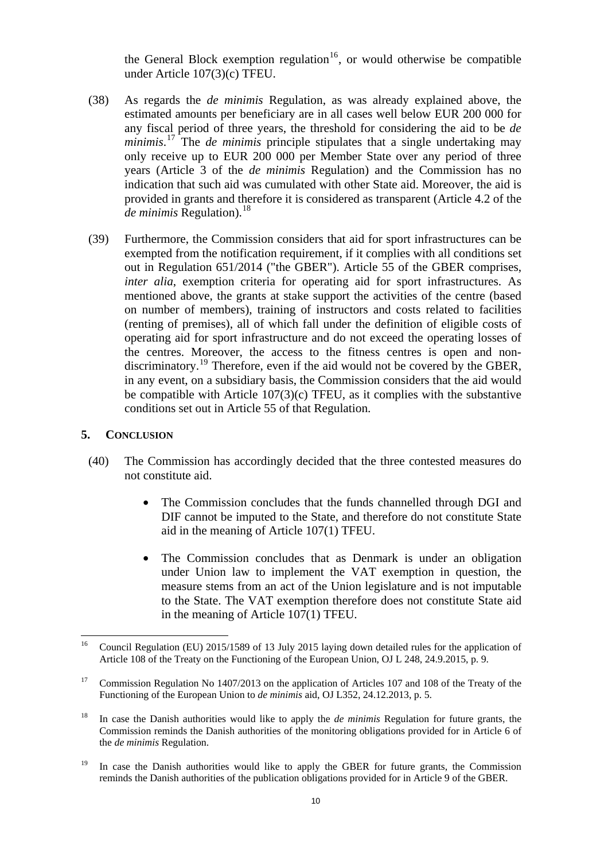the General Block exemption regulation<sup>16</sup>, or would otherwise be compatible under Article 107(3)(c) TFEU.

- (38) As regards the *de minimis* Regulation, as was already explained above, the estimated amounts per beneficiary are in all cases well below EUR 200 000 for any fiscal period of three years, the threshold for considering the aid to be *de minimis*. [17](#page-9-0) The *de minimis* principle stipulates that a single undertaking may only receive up to EUR 200 000 per Member State over any period of three years (Article 3 of the *de minimis* Regulation) and the Commission has no indication that such aid was cumulated with other State aid. Moreover, the aid is provided in grants and therefore it is considered as transparent (Article 4.2 of the *de minimis* Regulation).<sup>[18](#page-9-1)</sup>
- (39) Furthermore, the Commission considers that aid for sport infrastructures can be exempted from the notification requirement, if it complies with all conditions set out in Regulation 651/2014 ("the GBER"). Article 55 of the GBER comprises, *inter alia*, exemption criteria for operating aid for sport infrastructures. As mentioned above, the grants at stake support the activities of the centre (based on number of members), training of instructors and costs related to facilities (renting of premises), all of which fall under the definition of eligible costs of operating aid for sport infrastructure and do not exceed the operating losses of the centres. Moreover, the access to the fitness centres is open and non-discriminatory.<sup>[19](#page-9-2)</sup> Therefore, even if the aid would not be covered by the GBER, in any event, on a subsidiary basis, the Commission considers that the aid would be compatible with Article 107(3)(c) TFEU, as it complies with the substantive conditions set out in Article 55 of that Regulation.

### **5. CONCLUSION**

- (40) The Commission has accordingly decided that the three contested measures do not constitute aid.
	- The Commission concludes that the funds channelled through DGI and DIF cannot be imputed to the State, and therefore do not constitute State aid in the meaning of Article 107(1) TFEU.
	- in the meaning of Article  $107(1)$  TFEU. • The Commission concludes that as Denmark is under an obligation under Union law to implement the VAT exemption in question, the measure stems from an act of the Union legislature and is not imputable to the State. The VAT exemption therefore does not constitute State aid

<sup>16</sup> 16 Council Regulation (EU) 2015/1589 of 13 July 2015 laying down detailed rules for the application of Article 108 of the Treaty on the Functioning of the European Union, OJ L 248, 24.9.2015, p. 9.

<span id="page-9-0"></span><sup>&</sup>lt;sup>17</sup> Commission Regulation No 1407/2013 on the application of Articles 107 and 108 of the Treaty of the Functioning of the European Union to *de minimis* aid, OJ L352, 24.12.2013, p. 5.

<span id="page-9-1"></span><sup>18</sup> In case the Danish authorities would like to apply the *de minimis* Regulation for future grants, the Commission reminds the Danish authorities of the monitoring obligations provided for in Article 6 of the *de minimis* Regulation.

<span id="page-9-2"></span><sup>&</sup>lt;sup>19</sup> In case the Danish authorities would like to apply the GBER for future grants, the Commission reminds the Danish authorities of the publication obligations provided for in Article 9 of the GBER.